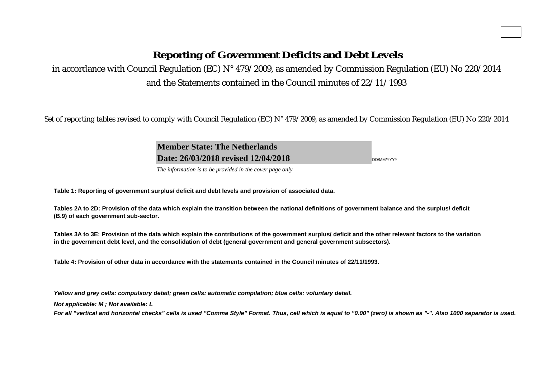# **Reporting of Government Deficits and Debt Levels**

in accordance with Council Regulation (EC) N° 479/2009, as amended by Commission Regulation (EU) No 220/2014 and the Statements contained in the Council minutes of 22/11/1993

Set of reporting tables revised to comply with Council Regulation (EC) N° 479/2009, as amended by Commission Regulation (EU) No 220/2014

**Member State: The NetherlandsDate: 26/03/2018 revised 12/04/2018**

DD/MM/YYYY

**Apr.2018**

*The information is to be provided in the cover page only* 

**Table 1: Reporting of government surplus/ deficit and debt levels and provision of associated data.**

**Tables 2A to 2D: Provision of the data which explain the transition between the national definitions of government balance and the surplus/ deficit (B.9) of each government sub-sector.**

**Tables 3A to 3E: Provision of the data which explain the contributions of the government surplus/ deficit and the other relevant factors to the variation in the government debt level, and the consolidation of debt (general government and general government subsectors).**

**Table 4: Provision of other data in accordance with the statements contained in the Council minutes of 22/11/1993.**

*Yellow and grey cells: compulsory detail; green cells: automatic compilation; blue cells: voluntary detail.*

*Not applicable: M ; Not available: L* 

*For all "vertical and horizontal checks" cells is used "Comma Style" Format. Thus, cell which is equal to "0.00" (zero) is shown as "-". Also 1000 separator is used.*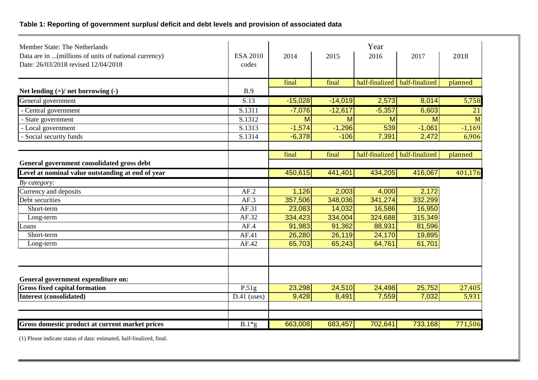# **Table 1: Reporting of government surplus/ deficit and debt levels and provision of associated data**

| Member State: The Netherlands<br>Data are in  (millions of units of national currency)<br>Date: 26/03/2018 revised 12/04/2018 | <b>ESA 2010</b><br>codes | 2014      | 2015      | Year<br>2016 | 2017                            | 2018     |
|-------------------------------------------------------------------------------------------------------------------------------|--------------------------|-----------|-----------|--------------|---------------------------------|----------|
|                                                                                                                               |                          | final     | final     |              | half-finalized half-finalized   | planned  |
| Net lending $(+)/$ net borrowing $(-)$                                                                                        | B.9                      |           |           |              |                                 |          |
| General government                                                                                                            | $\overline{S.13}$        | $-15,028$ | $-14,019$ | 2,573        | 8,014                           | 5,758    |
| - Central government                                                                                                          | S.1311                   | $-7,076$  | $-12,617$ | $-5,357$     | 6,603                           | 21       |
| - State government                                                                                                            | S.1312                   | M         | M         | M            | м                               | M        |
| - Local government                                                                                                            | S.1313                   | $-1,574$  | $-1,296$  | 539          | $-1,061$                        | $-1,169$ |
| - Social security funds                                                                                                       | S.1314                   | $-6,378$  | $-106$    | 7,391        | 2,472                           | 6,906    |
|                                                                                                                               |                          | final     | final     |              | half-finalized   half-finalized | planned  |
| General government consolidated gross debt                                                                                    |                          |           |           |              |                                 |          |
| Level at nominal value outstanding at end of year                                                                             |                          | 450,615   | 441,401   | 434,205      | 416,067                         | 401,176  |
| By category:                                                                                                                  |                          |           |           |              |                                 |          |
| Currency and deposits                                                                                                         | AF.2                     | 1,126     | 2,003     | 4,000        | 2,172                           |          |
| Debt securities                                                                                                               | AF.3                     | 357,506   | 348,036   | 341,274      | 332,299                         |          |
| Short-term                                                                                                                    | AF.31                    | 23,083    | 14,032    | 16,586       | 16,950                          |          |
| Long-term                                                                                                                     | AF.32                    | 334,423   | 334,004   | 324,688      | 315,349                         |          |
| Loans                                                                                                                         | AF.4                     | 91,983    | 91,362    | 88,931       | 81,596                          |          |
| Short-term                                                                                                                    | AF.41                    | 26,280    | 26,119    | 24,170       | 19,895                          |          |
| Long-term                                                                                                                     | AF.42                    | 65,703    | 65,243    | 64,761       | 61,701                          |          |
|                                                                                                                               |                          |           |           |              |                                 |          |
| General government expenditure on:                                                                                            |                          |           |           |              |                                 |          |
| <b>Gross fixed capital formation</b>                                                                                          | P.51g                    | 23,298    | 24,510    | 24,498       | 25,752                          | 27,405   |
| <b>Interest (consolidated)</b>                                                                                                | $D.41$ (uses)            | 9,428     | 8,491     | 7,559        | 7,032                           | 5,931    |
|                                                                                                                               |                          |           |           |              |                                 |          |
| Gross domestic product at current market prices                                                                               | $B.1*g$                  | 663,008   | 683,457   | 702,641      | 733,168                         | 771,506  |

(1) Please indicate status of data: estimated, half-finalized, final.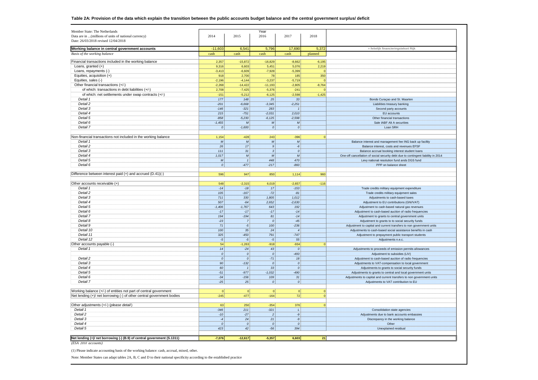| Member State: The Netherlands                                                |                  |                    | Year                  |                    |                   |                                                                                                       |
|------------------------------------------------------------------------------|------------------|--------------------|-----------------------|--------------------|-------------------|-------------------------------------------------------------------------------------------------------|
| Data are in  (millions of units of national currency)                        | 2014             | 2015               | 2016                  | 2017               | 2018              |                                                                                                       |
| Date: 26/03/2018 revised 12/04/2018                                          |                  |                    |                       |                    |                   |                                                                                                       |
| Working balance in central government accounts                               | $-11,603$        | 6,541              | 5,796                 | 17,690             | 5,372             | = feitelijk financieringstekort Rijk                                                                  |
| Basis of the working balance                                                 | cash             | cash               | cash                  | cash               | planned           |                                                                                                       |
|                                                                              |                  |                    |                       |                    |                   |                                                                                                       |
| Financial transactions included in the working balance<br>Loans, granted (+) | 2,357<br>9,316   | $-15,872$<br>6,603 | $-16,829$<br>5,451    | $-8,662$<br>5,076  | $-6,195$<br>2,219 |                                                                                                       |
| Loans, repayments (-)                                                        | $-3,413$         | $-6,609$           | $-7,928$              | $-5,399$           | $\Omega$          |                                                                                                       |
| Equities, acquisition (+)                                                    | 918              | 2,700              | 78                    | 185                | 350               |                                                                                                       |
| Equities, sales (-)                                                          | $-2,196$         | $-4,144$           | $-3,237$              | $-5,719$           | $\Omega$          |                                                                                                       |
| Other financial transactions (+/-)                                           | $-2,268$         | $-14,422$          | $-11,193$             | $-2,805$           | $-8,764$          |                                                                                                       |
| of which: transactions in debt liabilities (+/-)                             | 2,708            | $-7,425$           | $-5,376$              | $-241$             | $\Omega$          |                                                                                                       |
| of which: net settlements under swap contracts (+/-)                         | $-151$           | $-5,212$           | $-6,125$              | $-2,598$           | $-1,425$          |                                                                                                       |
| Detail 1                                                                     | 177              | 148                | 25                    | 33                 |                   | Bonds Curaçao and St. Maarten                                                                         |
| Detail 2                                                                     | $-201$           | $-6.668$           |                       | $-2,251$           |                   |                                                                                                       |
| Detail 3                                                                     | $-146$           | $-321$             | $-3,345$<br>283       | $\overline{1}$     |                   | Liabilities treasury banking<br>Second party accounts                                                 |
| Detail 4                                                                     |                  |                    |                       |                    |                   |                                                                                                       |
| Detail 5                                                                     | 215<br>$-858$    | $-751$<br>$-5,230$ | $-2,031$<br>$-6, 125$ | 2,010<br>$-2,598$  |                   | <b>EU</b> accounts<br>Other financial transactions                                                    |
| Detail 6                                                                     |                  | $\boldsymbol{M}$   | $\mathcal{M}$         | $\overline{M}$     |                   | Sale IABF Alt A securities                                                                            |
| Detail 7                                                                     | $-1,455$         |                    |                       |                    |                   |                                                                                                       |
|                                                                              | $\pmb{o}$        | $-1,600$           | o                     | 0                  |                   | Loan SRH                                                                                              |
| Non-financial transactions not included in the working balance               | 1,154            | $-428$             | 243                   | $-396$             | $\Omega$          |                                                                                                       |
| Detail 1                                                                     | $\overline{M}$   | $\boldsymbol{M}$   | $\mathcal{M}$         | $\mathcal{M}$      |                   |                                                                                                       |
| Detail 2                                                                     | 26               | 17                 | 9                     | $-6$               |                   | Balance interest and management fee ING back up faciltiy<br>Balance interest, costs and revenues EFSF |
| Detail 3                                                                     |                  |                    |                       |                    |                   |                                                                                                       |
|                                                                              | $111$            | 31                 | 3 <sup>1</sup>        | $\pmb{o}$          |                   | Balance accrual booking interest student loans                                                        |
| Detail 4                                                                     | 1,017            | ${\cal M}$         | $\mathcal{M}$         | M                  |                   | One-off cancellation of social security debt due to contingent liability in 2014                      |
| Detail 5                                                                     | $\boldsymbol{M}$ | $\mathbf{1}$       | 448                   | 470                |                   | Levy national resolution fund ands DGS fund                                                           |
| Detail 6                                                                     | $\mathfrak{o}$   | $-477$             | $-217$                | $-860$             |                   | PPP on balance sheet                                                                                  |
| Difference between interest paid (+) and accrued (D.41)(-)                   |                  |                    |                       |                    |                   |                                                                                                       |
|                                                                              | 596              | 947                | 850                   | 1,114              | 960               |                                                                                                       |
| Other accounts receivable (+)                                                | 548              | $-2,315$           |                       |                    |                   |                                                                                                       |
| Detail 1                                                                     | $-14$            |                    | 6,019<br>17           | $-2,657$<br>$-153$ | $-116$            |                                                                                                       |
|                                                                              |                  | $-18$              |                       |                    |                   | Trade credits military equipment expenditure                                                          |
| Detail 2                                                                     | 105              | $-167$             | $-72$                 | $-81$              |                   | Trade credits military equipment sales                                                                |
| Detail 3                                                                     | 711              | 330                | 1,805                 | 1,012              |                   | Adjustments to cash-based taxes                                                                       |
| Detail 4                                                                     | 507              | $-64$              | 2,652                 | $-2,630$           |                   | Adjustment to EU contributions (GNI/VAT)                                                              |
| Detail 5                                                                     | $-1,406$         | $-1,767$           | 643                   | 192                |                   | Adjustment to cash-based natural gas revenues                                                         |
| Detail 6                                                                     | $-17$            | $-17$              | $-17$                 | $-14$              |                   | Adjustment to cash-based auction of radio frequencies                                                 |
| Detail 7                                                                     | 194              | $-194$             | 81                    | $-14$              |                   | Adjustment to grants to central government units                                                      |
| Detail 8                                                                     | $-23$            | $\overline{7}$     | 0                     | $-45$              |                   | Adjustment to grants to to social security funds                                                      |
| Detail 9                                                                     | 71               | $-5$               | 100                   | $-236$             |                   | Adjustment to capital and current transfers to non government units                                   |
| Detail 10                                                                    | 100              | 35                 | 24                    | $\overline{4}$     |                   | Adjustments to cash-based social assistance benefits in cash                                          |
| Detail 11                                                                    | 325              | $-450$             | 791                   | $-747$             |                   | Adjustment to prepayment public transport students                                                    |
| Detail 12                                                                    | $-5$             | $-5$               | $-5$                  | 55                 |                   | Adjustments n.e.c.                                                                                    |
| Other accounts payable (-)                                                   | 54               | $-1,263$           | $-918$                | $-934$             | $\Omega$          |                                                                                                       |
| Detail 1                                                                     | 14               | $-24$              | 43                    | $\mathfrak{o}$     |                   | Adjustments to proceeds of emission permits allowances                                                |
|                                                                              | $\boldsymbol{o}$ | $\boldsymbol{o}$   | 0                     | $-493$             |                   | Adjustment to subsidies (LIV)                                                                         |
| Detail 2                                                                     | $\mathfrak{o}$   | $\mathfrak{o}$     | $-71$                 | 18                 |                   | Adjustment to cash-based auction of radio frequencies                                                 |
| Detail 3                                                                     | 90               | $-132$             | 0                     | $\pmb{o}$          |                   | Adjustments to VAT-compensation to local government                                                   |
| Detail 4                                                                     | 60               | $\overline{1}$     | 33                    | 0                  |                   | Adjustments to grants to social security funds                                                        |
| Detail 5                                                                     | $-51$            | $-977$             | $-1,032$              | $-490$             |                   | Adjustments to grants to central and local government units                                           |
| Detail 6                                                                     | $-34$            | $-156$             | 109                   | 31                 |                   | Adjustments to capital and current transfers to non government units                                  |
| Detail 7                                                                     | $-25$            | 25                 | $\boldsymbol{o}$      | o                  |                   | Adjustments to VAT contribution to EU                                                                 |
|                                                                              |                  |                    |                       |                    |                   |                                                                                                       |
| Working balance (+/-) of entities not part of central government             | 0                | 0                  | 0                     | $\mathbf{0}$       | $\circ$           |                                                                                                       |
| Net lending (+)/ net borrowing (-) of other central government bodies        | $-245$           | $-477$             | $-164$                | 72                 | $\overline{0}$    |                                                                                                       |
|                                                                              |                  |                    |                       |                    |                   |                                                                                                       |
| Other adjustments (+/-) (please detail)                                      | 63               | 250                | $-354$                | 376                | $\Omega$          |                                                                                                       |
| Detail 1                                                                     | $-346$           | 211                | $-321$                | $\mathbf{L}$       |                   | Consolidation state agencies                                                                          |
| Detail 2                                                                     | $-10$            | $-27$              | 2                     | $-9$               |                   | Adjustments due to bank accounts embassies                                                            |
| Detail 3                                                                     | $-4$             | 24                 | 21                    | $-9$               |                   | Discrepancy in the working balance                                                                    |
| Detail 4                                                                     | $\pmb{o}$        | $\it{o}$           | $\boldsymbol{o}$      | o                  |                   | Other                                                                                                 |
| Detail 5                                                                     | 423              | 42                 | $-56$                 | 394                |                   | Unexplained residual                                                                                  |
|                                                                              |                  |                    |                       |                    |                   |                                                                                                       |
| Net lending (+)/ net borrowing (-) (B.9) of central government (S.1311)      | $-7,076$         | $-12,617$          | $-5,357$              | 6,603              | 21                |                                                                                                       |
| $(ESA 2010$ $accounds)$                                                      |                  |                    |                       |                    |                   |                                                                                                       |

(1) Please indicate accounting basis of the working balance: cash, accrual, mixed, other.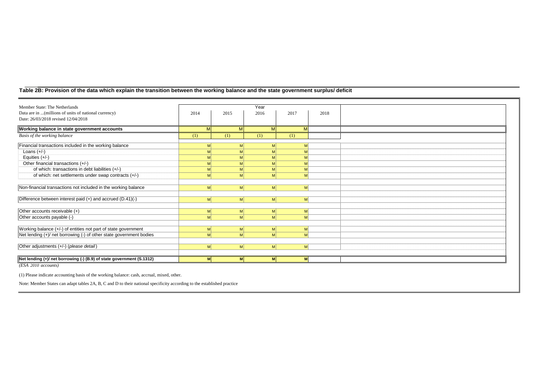## **Table 2B: Provision of the data which explain the transition between the working balance and the state government surplus/ deficit**

| Member State: The Netherlands                                                                |                |          | Year |                |              |      |  |
|----------------------------------------------------------------------------------------------|----------------|----------|------|----------------|--------------|------|--|
| Data are in  (millions of units of national currency)<br>Date: 26/03/2018 revised 12/04/2018 | 2014           | 2015     | 2016 |                | 2017         | 2018 |  |
| Working balance in state government accounts                                                 | M              | M        |      | M              |              |      |  |
| Basis of the working balance                                                                 | (1)            | (1)      | (1)  |                | (1)          |      |  |
| Financial transactions included in the working balance                                       | M              | M        |      | M              | М            |      |  |
| Loans $(+/-)$                                                                                |                |          |      |                |              |      |  |
| Equities $(+/-)$                                                                             | M              | M        |      | M              | M            |      |  |
| Other financial transactions (+/-)                                                           | M              | M        |      | <b>M</b>       |              |      |  |
| of which: transactions in debt liabilities (+/-)                                             |                |          |      | M              |              |      |  |
| of which: net settlements under swap contracts (+/-)                                         | M              | M        |      | M              | M            |      |  |
| Non-financial transactions not included in the working balance                               | M              | M        |      | M              | M            |      |  |
| Difference between interest paid (+) and accrued (D.41)(-)                                   | M <sup>2</sup> | M        |      | M              | $\mathsf{M}$ |      |  |
| Other accounts receivable (+)                                                                | M              | M        |      | M              | M            |      |  |
| Other accounts payable (-)                                                                   | M              | M        |      | M <sup>2</sup> | M            |      |  |
| Working balance (+/-) of entities not part of state government                               | M              | M        |      | M              | M            |      |  |
| Net lending (+)/ net borrowing (-) of other state government bodies                          | M              | M        |      | M <sup>2</sup> | M            |      |  |
| Other adjustments (+/-) (please detail)                                                      | M              | M        |      | M <sup>2</sup> | M            |      |  |
| Net lending (+)/ net borrowing (-) (B.9) of state government (S.1312)                        | M              | <b>M</b> |      | <b>M</b>       | M            |      |  |

*(ESA 2010 accounts)*

(1) Please indicate accounting basis of the working balance: cash, accrual, mixed, other.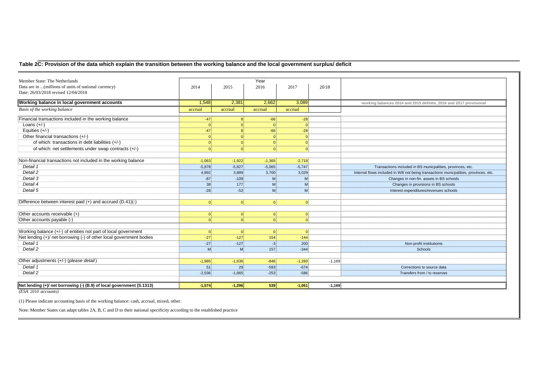# **Table 2C: Provision of the data which explain the transition between the working balance and the local government surplus/ deficit**

| Member State: The Netherlands                                         |            |              | Year           |          |          |                                                                                     |
|-----------------------------------------------------------------------|------------|--------------|----------------|----------|----------|-------------------------------------------------------------------------------------|
| Data are in  (millions of units of national currency)                 | 2014       | 2015         | 2016           | 2017     | 2018     |                                                                                     |
| Date: 26/03/2018 revised 12/04/2018                                   |            |              |                |          |          |                                                                                     |
| Working balance in local government accounts                          | 1,548      | 2,381        | 2,662          | 3,089    |          | working balances 2014 and 2015 definite, 2016 and 2017 provisional                  |
| Basis of the working balance                                          | accrual    | accrual      | accrual        | accrual  |          |                                                                                     |
| Financial transactions included in the working balance                | $-47$      | $\mathbf{R}$ | $-66$          | $-28$    |          |                                                                                     |
| Loans $(+/-)$                                                         | $\sqrt{ }$ |              | $\Omega$       | $\Omega$ |          |                                                                                     |
| Equities $(+/-)$                                                      | $-47$      |              | $-66$          | $-28$    |          |                                                                                     |
| Other financial transactions (+/-)                                    |            |              |                |          |          |                                                                                     |
| of which: transactions in debt liabilities (+/-)                      |            |              | $\Omega$       |          |          |                                                                                     |
| of which: net settlements under swap contracts (+/-)                  |            |              | $\Omega$       |          |          |                                                                                     |
|                                                                       |            |              |                |          |          |                                                                                     |
| Non-financial transactions not included in the working balance        | $-1,063$   | $-1,922$     | $-1,365$       | $-2,718$ |          |                                                                                     |
| Detail 1                                                              | $-5,878$   | $-5,827$     | $-5,065$       | $-5,747$ |          | Transactions included in BS municpalities, provinces, etc.                          |
| Detail 2                                                              | 4,892      | 3,889        | 3,700          | 3,029    |          | Internal flows included in WB not being transactions municpalities, provinces, etc. |
| Detail 3                                                              | $-87$      | $-109$       | <b>M</b>       | M        |          | Changes in non-fin. assets in BS schools                                            |
| Detail 4                                                              | 38         | 177          | M              | M        |          | Changes in provisions in BS schools                                                 |
| Detail 5                                                              | $-28$      | $-52$        | M              | M        |          | Interest expenditures/revenues schools                                              |
|                                                                       |            |              |                |          |          |                                                                                     |
| Difference between interest paid (+) and accrued (D.41)(-)            | $\Omega$   | 0            | 0              | $\Omega$ |          |                                                                                     |
|                                                                       |            |              |                |          |          |                                                                                     |
| Other accounts receivable (+)                                         | $\Omega$   | -OI          | $\overline{0}$ | $\Omega$ |          |                                                                                     |
| Other accounts payable (-)                                            |            |              |                |          |          |                                                                                     |
| Working balance (+/-) of entities not part of local government        | $\Omega$   | - Ol         | 0              | $\Omega$ |          |                                                                                     |
| Net lending (+)/ net borrowing (-) of other local government bodies   | $-27$      | $-127$       | 154            | $-144$   |          |                                                                                     |
| Detail 1                                                              | $-27$      | $-127$       | $-3$           | 200      |          | Non-profit institutioms                                                             |
| Detail 2                                                              | M          | M            | 157            | $-344$   |          | Schools                                                                             |
|                                                                       |            |              |                |          |          |                                                                                     |
| Other adjustments (+/-) (please detail)                               | $-1,985$   | $-1,636$     | $-846$         | $-1,260$ | $-1,169$ |                                                                                     |
| Detail 1                                                              | 51         | 29           | $-593$         | $-674$   |          | Corrections to source data                                                          |
| Detail 2                                                              | $-2,036$   | $-1,665$     | $-253$         | $-586$   |          | Transfers from / to reserves                                                        |
| Net lending (+)/ net borrowing (-) (B.9) of local government (S.1313) | $-1,574$   | $-1,296$     | 539            | $-1,061$ | $-1,169$ |                                                                                     |
|                                                                       |            |              |                |          |          |                                                                                     |

*(ESA 2010 accounts)*

(1) Please indicate accounting basis of the working balance: cash, accrual, mixed, other.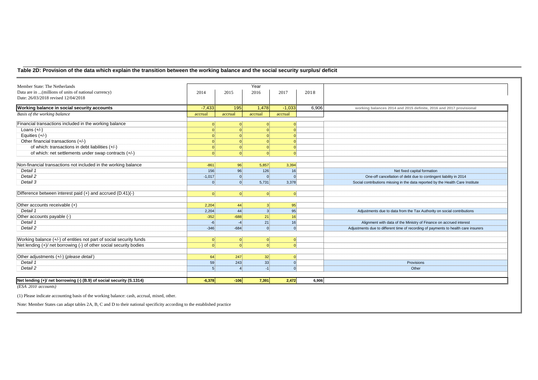## **Table 2D: Provision of the data which explain the transition between the working balance and the social security surplus/ deficit**

| Member State: The Netherlands                                        |          |          | Year     |                 |       |                                                                                    |
|----------------------------------------------------------------------|----------|----------|----------|-----------------|-------|------------------------------------------------------------------------------------|
| Data are in  (millions of units of national currency)                | 2014     | 2015     | 2016     | 2017            | 2018  |                                                                                    |
| Date: 26/03/2018 revised 12/04/2018                                  |          |          |          |                 |       |                                                                                    |
| Working balance in social security accounts                          | $-7,433$ | 195      | 1,478    | $-1,033$        | 6,906 | working balances 2014 and 2015 definite, 2016 and 2017 provisional                 |
| Basis of the working balance                                         | accrual  | accrual  | accrual  | accrual         |       |                                                                                    |
| Financial transactions included in the working balance               |          | $\Omega$ |          |                 |       |                                                                                    |
| Loans $(+/-)$                                                        |          |          |          |                 |       |                                                                                    |
| Equities $(+/-)$                                                     |          |          |          |                 |       |                                                                                    |
| Other financial transactions (+/-)                                   |          |          |          |                 |       |                                                                                    |
| of which: transactions in debt liabilities (+/-)                     |          |          |          |                 |       |                                                                                    |
| of which: net settlements under swap contracts (+/-)                 |          |          |          |                 |       |                                                                                    |
|                                                                      |          |          |          |                 |       |                                                                                    |
| Non-financial transactions not included in the working balance       | $-861$   | 96       | 5,857    | 3,394           |       |                                                                                    |
| Detail 1                                                             | 156      | 96       | 126      | 16              |       | Net fixed capital formation                                                        |
| Detail 2                                                             | $-1,017$ | $\Omega$ | $\Omega$ |                 |       | One-off cancellation of debt due to contingent liability in 2014                   |
| Detail 3                                                             |          | $\Omega$ | 5,731    | 3,378           |       | Social contributions missing in the data reported by the Health Care Institute     |
| Difference between interest paid (+) and accrued (D.41)(-)           | $\Omega$ | $\Omega$ | $\Omega$ | $\Omega$        |       |                                                                                    |
| Other accounts receivable (+)                                        | 2,204    | 44       | 3        | 95              |       |                                                                                    |
| Detail 1                                                             | 2,204    | 44       |          | 95              |       | Adjustments due to data from the Tax Authority on social contributions             |
| Other accounts payable (-)                                           | $-352$   | $-688$   | 21       | 16 <sup>1</sup> |       |                                                                                    |
| Detail 1                                                             | $-6$     |          | 21       | 16              |       | Alignment with data of the Ministry of Finance on accrued interest                 |
| Detail 2                                                             | $-346$   | $-684$   | $\Omega$ | $\Omega$        |       | Adjustments due to different time of recording of payments to health care insurers |
|                                                                      |          |          |          |                 |       |                                                                                    |
| Working balance (+/-) of entities not part of social security funds  | $\Omega$ | 0        |          | $\Omega$        |       |                                                                                    |
| Net lending (+)/ net borrowing (-) of other social security bodies   |          | $\Omega$ |          |                 |       |                                                                                    |
| Other adjustments (+/-) (please detail)                              | 64       | 247      | 32       |                 |       |                                                                                    |
| Detail 1                                                             | 59       | 243      | 33       |                 |       | Provisions                                                                         |
| Detail 2                                                             |          |          |          |                 |       | Other                                                                              |
|                                                                      |          |          |          |                 |       |                                                                                    |
| Net lending (+)/ net borrowing (-) (B.9) of social security (S.1314) | $-6,378$ | $-106$   | 7,391    | 2,472           | 6,906 |                                                                                    |

*(ESA 2010 accounts)*

(1) Please indicate accounting basis of the working balance: cash, accrual, mixed, other.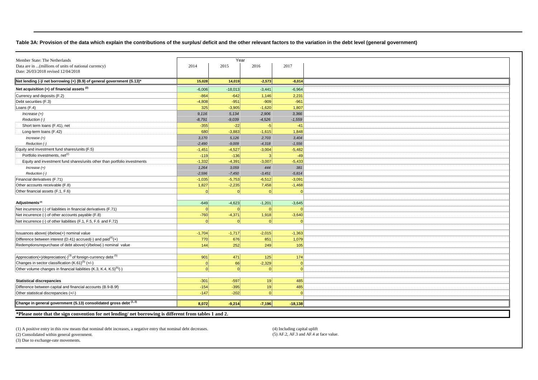#### **Table 3A: Provision of the data which explain the contributions of the surplus/ deficit and the other relevant factors to the variation in the debt level (general government)**

| Member State: The Netherlands                                                          |                   | Year              |                 |                 |
|----------------------------------------------------------------------------------------|-------------------|-------------------|-----------------|-----------------|
| Data are in  (millions of units of national currency)                                  | 2014              | 2015              | 2016            | 2017            |
| Date: 26/03/2018 revised 12/04/2018                                                    |                   |                   |                 |                 |
| Net lending (-)/ net borrowing (+) (B.9) of general government (S.13)*                 | 15,028            | 14,019            | $-2,573$        | $-8,014$        |
| Net acquisition $(+)$ of financial assets $(2)$                                        | $-6,006$          | $-18,013$         | $-3,441$        | $-6,964$        |
| Currency and deposits (F.2)                                                            | $-864$            | $-642$            | 1,146           | 2,231           |
| Debt securities (F.3)                                                                  | $-4,808$          | $-951$            | $-909$          | $-961$          |
| Loans (F.4)                                                                            | 325               | $-3,905$          | $-1,620$        | 1,807           |
| $Increase (+)$                                                                         | 9.116             | 5,134             | 2,906           | 3,366           |
| Reduction (-)                                                                          | $-8,791$          | $-9,039$          | $-4,526$        | $-1,559$        |
| Short term loans (F.41), net                                                           | $-355$            | $-22$             | $-5$            | $-41$           |
| Long-term loans (F.42)                                                                 | 680               | $-3,883$          | $-1,615$        | 1,848           |
| $Increase (+)$                                                                         | 3,170             | 5,126             | 2,703           | 3,404           |
| Reduction (-)                                                                          | $-2,490$          | $-9,009$          | $-4,318$        | $-1,556$        |
| Equity and investment fund shares/units (F.5)                                          | $-1,451$          | $-4,527$          | $-3,004$        | $-5,482$        |
| Portfolio investments, net <sup>(2)</sup>                                              | $-119$            | $-136$            |                 | $-49$           |
| Equity and investment fund shares/units other than portfolio investments               |                   |                   |                 |                 |
|                                                                                        | $-1,332$          | $-4,391$          | $-3,007$        | $-5,433$        |
| $Increase (+)$<br>Reduction (-)                                                        | 1,264<br>$-2,596$ | 3,059<br>$-7,450$ | 444<br>$-3,451$ | 381<br>$-5,814$ |
|                                                                                        |                   |                   |                 |                 |
| Financial derivatives (F.71)                                                           | $-1,035$          | $-5,753$          | $-6,512$        | $-3,091$        |
| Other accounts receivable (F.8)                                                        | 1,827             | $-2,235$          | 7,458           | $-1,468$        |
| Other financial assets (F.1, F.6)                                                      |                   | $\Omega$          |                 |                 |
|                                                                                        |                   |                   |                 |                 |
| Adjustments <sup>(2)</sup>                                                             | $-649$            | $-4,623$          | $-1,201$        | $-3,645$        |
| Net incurrence (-) of liabilities in financial derivatives (F.71)                      | - 0               | - Ol              | $\Omega$        |                 |
| Net incurrence (-) of other accounts payable (F.8)                                     | $-760$            | $-4,371$          | 1,918           | $-3,640$        |
| Net incurrence (-) of other liabilities (F.1, F.5, F.6 and F.72)                       | $\Omega$          | $\Omega$          | $\Omega$        |                 |
|                                                                                        |                   |                   |                 |                 |
| Issuances above(-)/below(+) nominal value                                              | $-1,704$          | $-1,717$          | $-2,015$        | $-1,363$        |
| Difference between interest (D.41) accrued(-) and paid $(4)$ (+)                       | 770               | 676               | 851             | 1,079           |
| Redemptions/repurchase of debt above(+)/below(-) nominal value                         | 144               | 252               | 249             | 105             |
|                                                                                        |                   |                   |                 |                 |
| Appreciation(+)/depreciation(-) <sup>(3)</sup> of foreign-currency debt <sup>(5)</sup> | 901               | 471               | 125             | 174             |
| Changes in sector classification (K.61) <sup>(5)</sup> (+/-)                           | 0                 | 66                | $-2,329$        | C               |
| Other volume changes in financial liabilities (K.3, K.4, K.5) <sup>(5)</sup> (-)       | 0                 | $\Omega$          | 0               | <b>r</b>        |
|                                                                                        |                   |                   |                 |                 |
| <b>Statistical discrepancies</b>                                                       | $-301$            | $-597$            | 19              | 485             |
| Difference between capital and financial accounts (B.9-B.9f)                           | $-154$            | $-395$            | 19              | 485             |
| Other statistical discrepancies (+/-)                                                  | $-147$            | $-202$            | $\Omega$        | $\sqrt{ }$      |
| Change in general government (S.13) consolidated gross debt (1, 2)                     | 8,072             | $-9,214$          | $-7,196$        | $-18,138$       |
|                                                                                        |                   |                   |                 |                 |

**\*Please note that the sign convention for net lending/ net borrowing is different from tables 1 and 2.** 

(1) A positive entry in this row means that nominal debt increases, a negative entry that nominal debt decreases. (4) Including capital uplift

(2) Consolidated within general government. (5) AF.2, AF.3 and AF.4 at face value.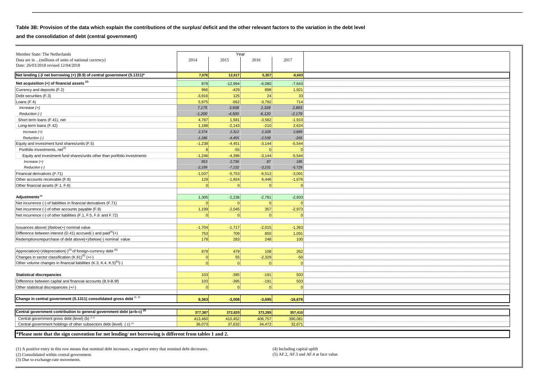## **Table 3B: Provision of the data which explain the contributions of the surplus/ deficit and the other relevant factors to the variation in the debt level**

**and the consolidation of debt (central government)**

| Member State: The Netherlands                                                                          |              | Year                 |          |           |
|--------------------------------------------------------------------------------------------------------|--------------|----------------------|----------|-----------|
| Data are in  (millions of units of national currency)                                                  | 2014         | 2015                 | 2016     | 2017      |
| Date: 26/03/2018 revised 12/04/2018                                                                    |              |                      |          |           |
|                                                                                                        |              |                      | 5,357    | $-6,603$  |
| Net lending (-)/ net borrowing (+) (B.9) of central government (S.1311)*                               | 7,076        | 12,617               |          |           |
| Net acquisition (+) of financial assets <sup>(2)</sup>                                                 | 879          | $-12,994$            | $-6,080$ | $-7,643$  |
| Currency and deposits (F.2)                                                                            | 966          | $-429$               | 898      | 1,921     |
| Debt securities (F.3)                                                                                  | $-3,916$     | 125                  | 24       | 33        |
| Loans (F.4)                                                                                            | 5,975        | $-562$               | $-3,792$ | 714       |
| $Increase (+)$                                                                                         | 7,175        | 3,938                | 2,328    | 2,893     |
| Reduction (-)                                                                                          | $-1,200$     | $-4,500$             | $-6,120$ | $-2,179$  |
| Short term loans (F.41), net                                                                           | 4,787        | 1,581                | $-3,582$ | $-1,910$  |
| Long-term loans (F.42)                                                                                 | 1,188        | $-2,143$             | $-210$   | 2,624     |
| $Increase (+)$                                                                                         | 2,374        | 2,312                | 2,328    | 2,889     |
| Reduction (-)                                                                                          | $-1,186$     | $-4,455$             | $-2,538$ | $-265$    |
| Equity and investment fund shares/units (F.5)                                                          | $-1,238$     | $-4,451$             | $-3,144$ | $-5,544$  |
| Portfolio investments, net <sup>(2)</sup>                                                              | $\mathsf{R}$ | $-55$                | $\Omega$ |           |
| Equity and investment fund shares/units other than portfolio investments                               | $-1,246$     | $-4,396$             | $-3,144$ | $-5,544$  |
| $Increase (+)$                                                                                         | 953          | 2,736                | 87       | 185       |
| Reduction (-)                                                                                          | $-2,199$     | $-7,132$             | $-3,231$ | $-5,729$  |
| Financial derivatives (F.71)                                                                           | $-1,037$     | $-5,753$             | $-6,512$ | $-3,091$  |
| Other accounts receivable (F.8)                                                                        | 129          | $-1,924$             | 6,446    | $-1,676$  |
| Other financial assets (F.1, F.6)                                                                      | $\Omega$     | $\Omega$             | $\Omega$ | $\Omega$  |
|                                                                                                        |              |                      |          |           |
| Adjustments <sup>(2)</sup>                                                                             |              |                      |          |           |
|                                                                                                        | 1,305        | $-2,236$<br>$\Omega$ | $-2,781$ | $-2,933$  |
| Net incurrence (-) of liabilities in financial derivatives (F.71)                                      | $\Omega$     |                      | $\Omega$ |           |
| Net incurrence (-) of other accounts payable (F.8)                                                     | 1,199        | $-2,045$             | 357      | $-2,973$  |
| Net incurrence (-) of other liabilities (F.1, F.5, F.6 and F.72)                                       |              | $\Omega$             | $\Omega$ | $\Omega$  |
|                                                                                                        |              |                      |          |           |
| Issuances above(-)/below(+) nominal value                                                              | $-1,704$     | $-1,717$             | $-2,015$ | $-1,363$  |
| Difference between interest (D.41) accrued(-) and paid $(4)$ (+)                                       | 753          | 709                  | 850      | 1,091     |
| Redemptions/repurchase of debt above(+)/below(-) nominal value                                         | 178          | 283                  | 248      | 100       |
|                                                                                                        |              |                      |          |           |
| Appreciation(+)/depreciation(-) <sup>(3)</sup> of foreign-currency debt <sup>(5)</sup>                 | 879          | 479                  | 108      | 262       |
| Changes in sector classification (K.61) <sup>(5)</sup> (+/-)                                           | 0            | 55                   | $-2,329$ | $-50$     |
| Other volume changes in financial liabilities (K.3, K.4, K.5) <sup>(5)</sup> (-)                       | 0            | $\Omega$             | 0        | $\Omega$  |
|                                                                                                        |              |                      |          |           |
| <b>Statistical discrepancies</b>                                                                       | 103          | $-395$               | $-191$   | 503       |
| Difference between capital and financial accounts (B.9-B.9f)                                           | 103          | $-395$               | $-191$   | 503       |
| Other statistical discrepancies (+/-)                                                                  | $\Omega$     | $\Omega$             | $\Omega$ | $\Omega$  |
|                                                                                                        |              |                      |          |           |
| Change in central government (S.1311) consolidated gross debt (1, 2)                                   | 9,363        | $-3,008$             | $-3,695$ | $-16,676$ |
|                                                                                                        |              |                      |          |           |
| Central government contribution to general government debt (a=b-c) <sup>(5)</sup>                      | 377,387      | 372,820              | 372,285  | 357,410   |
| Central government gross debt (level) (b) (2,5)                                                        | 413,460      | 410,452              | 406,757  | 390,081   |
| Central government holdings of other subsectors debt (level) (c) <sup>(5)</sup>                        | 36,073       | 37,632               | 34,472   | 32,671    |
|                                                                                                        |              |                      |          |           |
| *Please note that the sign convention for net lending/ net borrowing is different from tables 1 and 2. |              |                      |          |           |

(1) A positive entry in this row means that nominal debt increases, a negative entry that nominal debt decreases. (4) Including capital uplift

(3) Due to exchange-rate movements.

(2) Consolidated within central government. (5) AF.2, AF.3 and AF.4 at face value.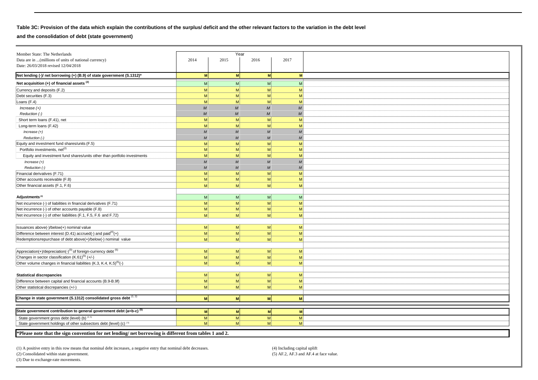## **Table 3C: Provision of the data which explain the contributions of the surplus/ deficit and the other relevant factors to the variation in the debt level**

#### **and the consolidation of debt (state government)**

|                  |                                                                                                     |                                                                                                                                                                                         | 2017                                                                       |
|------------------|-----------------------------------------------------------------------------------------------------|-----------------------------------------------------------------------------------------------------------------------------------------------------------------------------------------|----------------------------------------------------------------------------|
|                  |                                                                                                     |                                                                                                                                                                                         |                                                                            |
|                  |                                                                                                     |                                                                                                                                                                                         |                                                                            |
|                  |                                                                                                     |                                                                                                                                                                                         | M                                                                          |
| M                | M                                                                                                   | M                                                                                                                                                                                       | M                                                                          |
| M <sub>l</sub>   | M                                                                                                   | M                                                                                                                                                                                       | M                                                                          |
| M                | M                                                                                                   | M                                                                                                                                                                                       | M                                                                          |
| M                | M                                                                                                   | M                                                                                                                                                                                       | M                                                                          |
| M                | $\boldsymbol{M}$                                                                                    | $\boldsymbol{M}$                                                                                                                                                                        | $\boldsymbol{M}$                                                           |
| M                | M                                                                                                   | $\overline{M}$                                                                                                                                                                          | $\cal M$                                                                   |
| M                | M                                                                                                   | M                                                                                                                                                                                       | M                                                                          |
| M                | M                                                                                                   | M                                                                                                                                                                                       | M                                                                          |
| M                | M                                                                                                   | $\overline{M}$                                                                                                                                                                          | $\boldsymbol{M}$                                                           |
| M                | M                                                                                                   | M                                                                                                                                                                                       | $\boldsymbol{M}$                                                           |
| M                | M                                                                                                   | M                                                                                                                                                                                       | M                                                                          |
| M                | M                                                                                                   | M                                                                                                                                                                                       | M                                                                          |
| M                | M                                                                                                   | M                                                                                                                                                                                       | M                                                                          |
| $\boldsymbol{M}$ | M                                                                                                   | $\overline{M}$                                                                                                                                                                          | M                                                                          |
| $\boldsymbol{M}$ | M                                                                                                   | $\overline{M}$                                                                                                                                                                          | $\boldsymbol{M}$                                                           |
|                  |                                                                                                     | M                                                                                                                                                                                       | M                                                                          |
| M                | $\mathsf{M}$                                                                                        | M                                                                                                                                                                                       | M                                                                          |
|                  |                                                                                                     |                                                                                                                                                                                         | M                                                                          |
|                  |                                                                                                     |                                                                                                                                                                                         |                                                                            |
|                  |                                                                                                     |                                                                                                                                                                                         | M                                                                          |
|                  |                                                                                                     |                                                                                                                                                                                         | M                                                                          |
|                  |                                                                                                     |                                                                                                                                                                                         | M                                                                          |
|                  |                                                                                                     |                                                                                                                                                                                         | M                                                                          |
|                  |                                                                                                     |                                                                                                                                                                                         |                                                                            |
|                  |                                                                                                     |                                                                                                                                                                                         |                                                                            |
|                  |                                                                                                     |                                                                                                                                                                                         | M                                                                          |
|                  |                                                                                                     |                                                                                                                                                                                         | M                                                                          |
|                  |                                                                                                     |                                                                                                                                                                                         | M                                                                          |
|                  |                                                                                                     |                                                                                                                                                                                         |                                                                            |
|                  |                                                                                                     |                                                                                                                                                                                         | M                                                                          |
|                  |                                                                                                     |                                                                                                                                                                                         | M                                                                          |
|                  | M                                                                                                   | M                                                                                                                                                                                       | M                                                                          |
|                  |                                                                                                     |                                                                                                                                                                                         |                                                                            |
| M                | M                                                                                                   | M                                                                                                                                                                                       | M                                                                          |
| M                | M                                                                                                   | M                                                                                                                                                                                       | M                                                                          |
| M                | M                                                                                                   | M                                                                                                                                                                                       | M                                                                          |
|                  |                                                                                                     |                                                                                                                                                                                         |                                                                            |
| M                | M                                                                                                   | <b>M</b>                                                                                                                                                                                | M                                                                          |
|                  |                                                                                                     |                                                                                                                                                                                         |                                                                            |
| M                | M                                                                                                   | M                                                                                                                                                                                       | M                                                                          |
| M                | M                                                                                                   | M                                                                                                                                                                                       | M                                                                          |
| M                | M                                                                                                   | M                                                                                                                                                                                       | M                                                                          |
|                  |                                                                                                     |                                                                                                                                                                                         |                                                                            |
|                  | 2014<br>M<br> M <br>M <sub>l</sub><br>M<br>M<br>M<br>M <sub>l</sub><br> M <br>M<br>M<br>M<br>M<br>M | 2015<br>M<br>M<br>M<br> M <br> M <br>M<br>M<br> M <br> M <br> M <br> M <br> M <br>*Plasse note that the sign convention for net lending/ net borrowing is different from tables 1 and 2 | Year<br>2016<br><b>M</b><br>M<br>M<br>M<br>M<br>M<br>M<br>M<br>M<br>M<br>M |

**\*Please note that the sign convention for net lending/ net borrowing is different from tables 1 and 2.** 

(1) A positive entry in this row means that nominal debt increases, a negative entry that nominal debt decreases. (4) Including capital uplift (4) Including capital uplift (5) AF.2, AF.3 and AF.4 at face value.

(2) Consolidated within state government.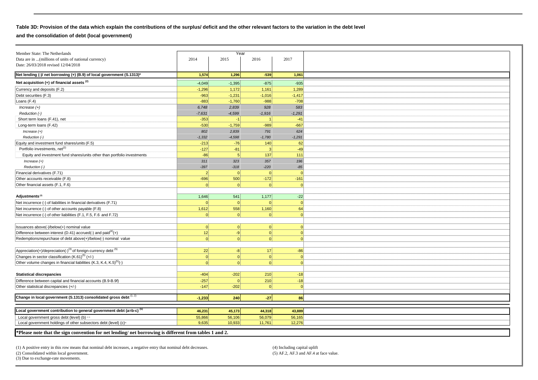#### **Table 3D: Provision of the data which explain the contributions of the surplus/ deficit and the other relevant factors to the variation in the debt level**

**and the consolidation of debt (local government)**

| Member State: The Netherlands                                                                         |           | Year     |              |                |
|-------------------------------------------------------------------------------------------------------|-----------|----------|--------------|----------------|
| Data are in  (millions of units of national currency)                                                 | 2014      | 2015     | 2016         | 2017           |
| Date: 26/03/2018 revised 12/04/2018                                                                   |           |          |              |                |
| Net lending (-)/ net borrowing (+) (B.9) of local government (S.1313)*                                | 1,574     | 1,296    | $-539$       | 1,061          |
|                                                                                                       |           |          |              |                |
| Net acquisition $(+)$ of financial assets $(2)$                                                       | $-4,049$  | $-1,395$ | $-875$       | $-935$         |
| Currency and deposits (F.2)                                                                           | $-1,296$  | 1,172    | 1,161        | 1,289          |
| Debt securities (F.3)                                                                                 | $-963$    | $-1,231$ | $-1,016$     | $-1,417$       |
| Loans (F.4)                                                                                           | $-883$    | $-1,760$ | $-988$       | $-708$         |
| $Increase (+)$                                                                                        | 6,748     | 2,839    | 928          | 583            |
| Reduction (-)                                                                                         | $-7,631$  | $-4,599$ | $-1,916$     | $-1,291$       |
| Short term loans (F.41), net                                                                          | $-353$    | $-1$     |              | $-41$          |
| Long-term loans (F.42)                                                                                | $-530$    | $-1,759$ | $-989$       | $-667$         |
| $Increase (+)$                                                                                        | 802       | 2,839    | 791          | 624            |
| Reduction (-)                                                                                         | $-1,332$  | $-4,598$ | $-1,780$     | $-1,291$       |
| Equity and investment fund shares/units (F.5)                                                         | $-213$    | $-76$    | 140          | 62             |
| Portfolio investments, net <sup>(2)</sup>                                                             | $-127$    | $-81$    | $\mathbf{R}$ | $-49$          |
| Equity and investment fund shares/units other than portfolio investments                              | $-86$     | 5        | 137          | 111            |
| $Increase (+)$                                                                                        | 311       | 323      | 357          | 196            |
| Reduction (-)                                                                                         | $-397$    | $-318$   | $-220$       | $-85$          |
| Financial derivatives (F.71)                                                                          | $\vert$ 2 | $\Omega$ | $\Omega$     | $\Omega$       |
| Other accounts receivable (F.8)                                                                       | $-696$    | 500      | $-172$       | $-161$         |
| Other financial assets (F.1, F.6)                                                                     | 0         | $\Omega$ | $\Omega$     | - 0            |
|                                                                                                       |           |          |              |                |
| Adjustments <sup>(2)</sup>                                                                            | 1,646     | 541      | 1,177        | $-22$          |
| Net incurrence (-) of liabilities in financial derivatives (F.71)                                     | $\Omega$  | 0        | $\Omega$     | $\Omega$       |
| Net incurrence (-) of other accounts payable (F.8)                                                    | 1,612     | 558      | 1,160        | 64             |
| Net incurrence (-) of other liabilities (F.1, F.5, F.6 and F.72)                                      | 0         | $\Omega$ | $\Omega$     | $\Omega$       |
|                                                                                                       |           |          |              |                |
| Issuances above(-)/below(+) nominal value                                                             | 0         | 0        | 0            | $\Omega$       |
| Difference between interest (D.41) accrued(-) and $\text{paid}^{(4)}(+)$                              | 12        | $-9$     | 0            | $\Omega$       |
| Redemptions/repurchase of debt above(+)/below(-) nominal value                                        | 0         | $\Omega$ | $\Omega$     | $\Omega$       |
|                                                                                                       |           |          |              |                |
|                                                                                                       |           |          |              |                |
| Appreciation(+)/depreciation(-) <sup>(3)</sup> of foreign-currency debt <sup>(5)</sup>                | 22        | $-8$     | 17           | $-86$          |
| Changes in sector classification (K.61) <sup>(5)</sup> (+/-)                                          | 0         | 0        | $\Omega$     | $\Omega$       |
| Other volume changes in financial liabilities (K.3, K.4, K.5) <sup>(5)</sup> (-)                      | $\Omega$  |          | $\Omega$     | $\Omega$       |
|                                                                                                       |           |          |              |                |
| <b>Statistical discrepancies</b>                                                                      | $-404$    | $-202$   | 210          | $-18$          |
| Difference between capital and financial accounts (B.9-B.9f)                                          | $-257$    | 0        | 210          | $-18$          |
| Other statistical discrepancies (+/-)                                                                 | $-147$    | $-202$   | $\Omega$     | $\overline{0}$ |
|                                                                                                       |           |          |              |                |
| Change in local government (S.1313) consolidated gross debt (1,2)                                     | $-1,233$  | 240      | $-27$        | 86             |
|                                                                                                       |           |          |              |                |
| Local government contribution to general government debt (a=b-c) <sup>(5)</sup>                       | 46,231    | 45,173   | 44,318       | 43,889         |
| Local government gross debt (level) (b) as                                                            | 55,866    | 56,106   | 56,079       | 56,165         |
| Local government holdings of other subsectors debt (level) (c) <sup>®</sup>                           | 9.635     | 10.933   | 11,761       | 12.276         |
|                                                                                                       |           |          |              |                |
| *Please note that the sign convention for net lending/net borrowing is different from tables 1 and 2. |           |          |              |                |

(1) A positive entry in this row means that nominal debt increases, a negative entry that nominal debt decreases. (4) Including capital uplift (5) AF.2, AF.3 and AF.4 at face value.

 $(2)$  Consolidated within local government.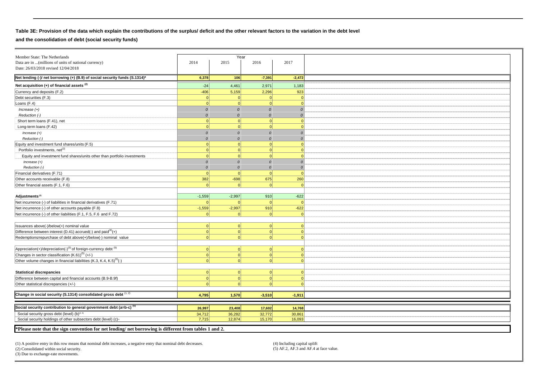## **Table 3E: Provision of the data which explain the contributions of the surplus/ deficit and the other relevant factors to the variation in the debt level**

**and the consolidation of debt (social security funds)**

|                                                                                                        | Year          |           |               |               |  |
|--------------------------------------------------------------------------------------------------------|---------------|-----------|---------------|---------------|--|
| Member State: The Netherlands                                                                          | 2014          | 2015      | 2016          | 2017          |  |
| Data are in  (millions of units of national currency)<br>Date: 26/03/2018 revised 12/04/2018           |               |           |               |               |  |
|                                                                                                        |               |           |               |               |  |
| Net lending (-)/ net borrowing (+) (B.9) of social security funds (S.1314)*                            | 6,378         | 106       | $-7,391$      | $-2,472$      |  |
| Net acquisition $(+)$ of financial assets $(2)$                                                        | $-24$         | 4,461     | 2,971         | 1,183         |  |
| Currency and deposits (F.2)                                                                            | $-406$        | 5,159     | 2.296         | 923           |  |
| Debt securities (F.3)                                                                                  | $\Omega$      | $\Omega$  | $\Omega$      | $\Omega$      |  |
| Loans (F.4)                                                                                            | 0             | $\Omega$  | $\Omega$      | $\Omega$      |  |
| $Increase (+)$                                                                                         | $\Omega$      | $\Omega$  | $\mathcal{O}$ | $\Omega$      |  |
| Reduction (-)                                                                                          | $\Omega$      | $\Omega$  | $\Omega$      | 0             |  |
| Short term loans (F.41), net                                                                           | 0             | $\Omega$  | $\Omega$      | $\Omega$      |  |
| Long-term loans (F.42)                                                                                 | $\Omega$      |           |               | $\Omega$      |  |
| $Increase (+)$                                                                                         | $\mathcal{O}$ | $\Omega$  | $\Omega$      | $\mathcal{O}$ |  |
| Reduction (-)                                                                                          | $\Omega$      | $\Omega$  | $\Omega$      | $\mathcal{O}$ |  |
| Equity and investment fund shares/units (F.5)                                                          | $\Omega$      | $\Omega$  | $\Omega$      | $\Omega$      |  |
| Portfolio investments, net <sup>(2)</sup>                                                              | 0             | $\Omega$  | $\Omega$      | $\Omega$      |  |
| Equity and investment fund shares/units other than portfolio investments                               | 0             | $\Omega$  | $\Omega$      | $\Omega$      |  |
| Increase $(+)$                                                                                         | $\Omega$      | $\Omega$  | $\Omega$      | $\Omega$      |  |
| Reduction (-)                                                                                          | $\Omega$      | $\Omega$  | $\Omega$      | $\mathcal{O}$ |  |
| Financial derivatives (F.71)                                                                           | 0             | $\Omega$  | $\Omega$      | $\Omega$      |  |
| Other accounts receivable (F.8)                                                                        | 382           | $-698$    | 675           | 260           |  |
| Other financial assets (F.1, F.6)                                                                      | $\Omega$      |           |               | $\Omega$      |  |
|                                                                                                        |               |           |               |               |  |
| Adjustments <sup>(2)</sup>                                                                             | $-1,559$      | $-2,997$  | 910           | $-622$        |  |
| Net incurrence (-) of liabilities in financial derivatives (F.71)                                      | $\Omega$      |           | $\Omega$      | $\Omega$      |  |
| Net incurrence (-) of other accounts payable (F.8)                                                     | $-1,559$      | $-2,997$  | 910           | $-622$        |  |
| Net incurrence (-) of other liabilities (F.1, F.5, F.6 and F.72)                                       | $\Omega$      | $\Omega$  | $\Omega$      | $\Omega$      |  |
|                                                                                                        |               |           |               |               |  |
|                                                                                                        |               |           | $\Omega$      |               |  |
| Issuances above(-)/below(+) nominal value                                                              | 0             | $\Omega$  |               | $\Omega$      |  |
| Difference between interest (D.41) accrued(-) and paid $(4)$ (+)                                       | 0             | 0         | 0             | $\mathbf{0}$  |  |
| Redemptions/repurchase of debt above(+)/below(-) nominal value                                         | 0             | $\Omega$  | $\Omega$      | $\Omega$      |  |
|                                                                                                        |               |           |               |               |  |
| Appreciation(+)/depreciation(-) <sup>(3)</sup> of foreign-currency debt <sup>(5)</sup>                 | 0             | $\Omega$  | 0             | $\Omega$      |  |
| Changes in sector classification (K.61) <sup>(5)</sup> (+/-)                                           | 0             | $\Omega$  | 0             | $\Omega$      |  |
| Other volume changes in financial liabilities (K.3, K.4, K.5) <sup>(5)</sup> (-)                       | $\Omega$      |           | $\Omega$      | $\Omega$      |  |
|                                                                                                        |               |           |               |               |  |
| <b>Statistical discrepancies</b>                                                                       | 0             | $\vert$ 0 | 0             | $\mathbf{0}$  |  |
| Difference between capital and financial accounts (B.9-B.9f)                                           | 0             | $\Omega$  | 0             | $\Omega$      |  |
| Other statistical discrepancies (+/-)                                                                  | 0             | $\Omega$  | $\Omega$      | $\Omega$      |  |
|                                                                                                        |               |           |               |               |  |
| Change in social security (S.1314) consolidated gross debt (1, 2)                                      | 4,795         | 1,570     | $-3,510$      | $-1,911$      |  |
|                                                                                                        |               |           |               |               |  |
| Social security contribution to general government debt (a=b-c) <sup>(5)</sup>                         | 26,997        | 23,408    | 17,602        | 14,768        |  |
| Social security gross debt (level) (b) <sup>(2, 5)</sup>                                               | 34,712        | 36,282    | 32,772        | 30,861        |  |
| Social security holdings of other subsectors debt (level) (c) <sup>®</sup>                             | 7.715         | 12,874    | 15,170        | 16.093        |  |
|                                                                                                        |               |           |               |               |  |
| *Please note that the sign convention for net lending/ net borrowing is different from tables 1 and 2. |               |           |               |               |  |

(1) A positive entry in this row means that nominal debt increases, a negative entry that nominal debt decreases. (4) Including capital uplift (2) Consolidated within social security. (5) AF.2, AF.3 and AF.4 at face value.  $(2)$  Consolidated within social security.